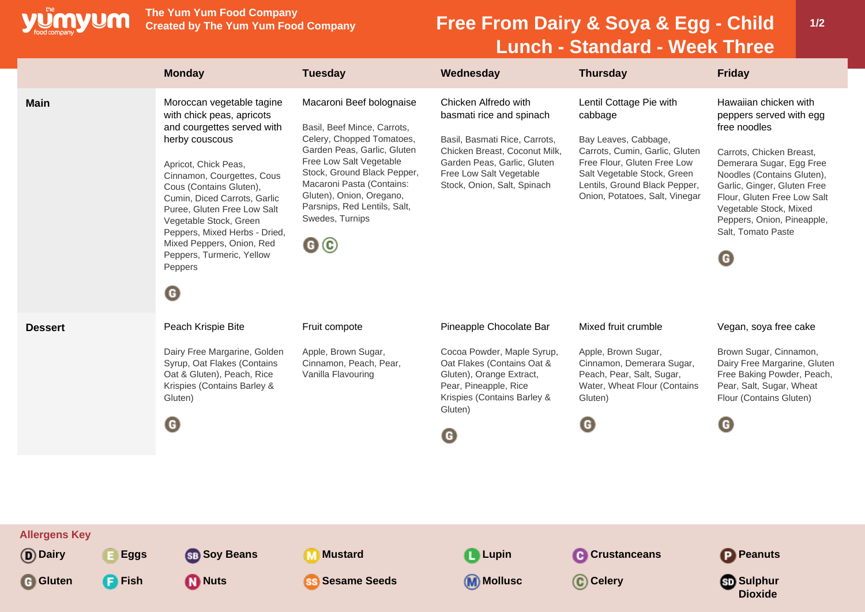

**The Yum Yum Food Company**

## **Free From Dairy & Soya & Egg - Child Lunch - Standard - Week Three**

|                                   |               | <b>Monday</b>                                                                                                                                                                                                                                                                                                                                                                                                   | <b>Tuesday</b>                                                                                                                                                                                                                                                                                            | Wednesday                                                                                                                                                                                                   | <b>Thursday</b>                                                                                                                                                                                                               | <b>Friday</b>                                                                                                                                                                                                                                                                                           |
|-----------------------------------|---------------|-----------------------------------------------------------------------------------------------------------------------------------------------------------------------------------------------------------------------------------------------------------------------------------------------------------------------------------------------------------------------------------------------------------------|-----------------------------------------------------------------------------------------------------------------------------------------------------------------------------------------------------------------------------------------------------------------------------------------------------------|-------------------------------------------------------------------------------------------------------------------------------------------------------------------------------------------------------------|-------------------------------------------------------------------------------------------------------------------------------------------------------------------------------------------------------------------------------|---------------------------------------------------------------------------------------------------------------------------------------------------------------------------------------------------------------------------------------------------------------------------------------------------------|
| <b>Main</b>                       |               | Moroccan vegetable tagine<br>with chick peas, apricots<br>and courgettes served with<br>herby couscous<br>Apricot, Chick Peas,<br>Cinnamon, Courgettes, Cous<br>Cous (Contains Gluten),<br>Cumin, Diced Carrots, Garlic<br>Puree, Gluten Free Low Salt<br>Vegetable Stock, Green<br>Peppers, Mixed Herbs - Dried,<br>Mixed Peppers, Onion, Red<br>Peppers, Turmeric, Yellow<br>Peppers<br>$\boldsymbol{\Theta}$ | Macaroni Beef bolognaise<br>Basil, Beef Mince, Carrots,<br>Celery, Chopped Tomatoes,<br>Garden Peas, Garlic, Gluten<br>Free Low Salt Vegetable<br>Stock, Ground Black Pepper,<br>Macaroni Pasta (Contains:<br>Gluten), Onion, Oregano,<br>Parsnips, Red Lentils, Salt,<br>Swedes, Turnips<br>$\mathbf{G}$ | Chicken Alfredo with<br>basmati rice and spinach<br>Basil, Basmati Rice, Carrots,<br>Chicken Breast, Coconut Milk,<br>Garden Peas, Garlic, Gluten<br>Free Low Salt Vegetable<br>Stock, Onion, Salt, Spinach | Lentil Cottage Pie with<br>cabbage<br>Bay Leaves, Cabbage,<br>Carrots, Cumin, Garlic, Gluten<br>Free Flour, Gluten Free Low<br>Salt Vegetable Stock, Green<br>Lentils, Ground Black Pepper,<br>Onion, Potatoes, Salt, Vinegar | Hawaiian chicken with<br>peppers served with egg<br>free noodles<br>Carrots, Chicken Breast,<br>Demerara Sugar, Egg Free<br>Noodles (Contains Gluten),<br>Garlic, Ginger, Gluten Free<br>Flour, Gluten Free Low Salt<br>Vegetable Stock, Mixed<br>Peppers, Onion, Pineapple,<br>Salt, Tomato Paste<br>G |
| <b>Dessert</b>                    |               | Peach Krispie Bite<br>Dairy Free Margarine, Golden<br>Syrup, Oat Flakes (Contains<br>Oat & Gluten), Peach, Rice<br>Krispies (Contains Barley &<br>Gluten)<br>$\mathbf \Theta$                                                                                                                                                                                                                                   | Fruit compote<br>Apple, Brown Sugar,<br>Cinnamon, Peach, Pear,<br>Vanilla Flavouring                                                                                                                                                                                                                      | Pineapple Chocolate Bar<br>Cocoa Powder, Maple Syrup,<br>Oat Flakes (Contains Oat &<br>Gluten), Orange Extract,<br>Pear, Pineapple, Rice<br>Krispies (Contains Barley &<br>Gluten)<br>G                     | Mixed fruit crumble<br>Apple, Brown Sugar,<br>Cinnamon, Demerara Sugar,<br>Peach, Pear, Salt, Sugar,<br>Water, Wheat Flour (Contains<br>Gluten)<br>O                                                                          | Vegan, soya free cake<br>Brown Sugar, Cinnamon,<br>Dairy Free Margarine, Gluten<br>Free Baking Powder, Peach,<br>Pear, Salt, Sugar, Wheat<br>Flour (Contains Gluten)<br>G                                                                                                                               |
| <b>Allergens Key</b><br>(D) Dairy | E Eggs        | <b>SB</b> Soy Beans                                                                                                                                                                                                                                                                                                                                                                                             | <b>Mustard</b><br>M                                                                                                                                                                                                                                                                                       | <b>Lupin</b>                                                                                                                                                                                                | <b>C</b> Crustanceans                                                                                                                                                                                                         | <b>P</b> Peanuts                                                                                                                                                                                                                                                                                        |
| <b>G</b> Gluten                   | <b>B</b> Fish | <b>D</b> Nuts                                                                                                                                                                                                                                                                                                                                                                                                   | <b>Sesame Seeds</b>                                                                                                                                                                                                                                                                                       | <b>M</b> Mollusc                                                                                                                                                                                            | C Celery                                                                                                                                                                                                                      | <b>Sulphur</b><br><b>Dioxide</b>                                                                                                                                                                                                                                                                        |